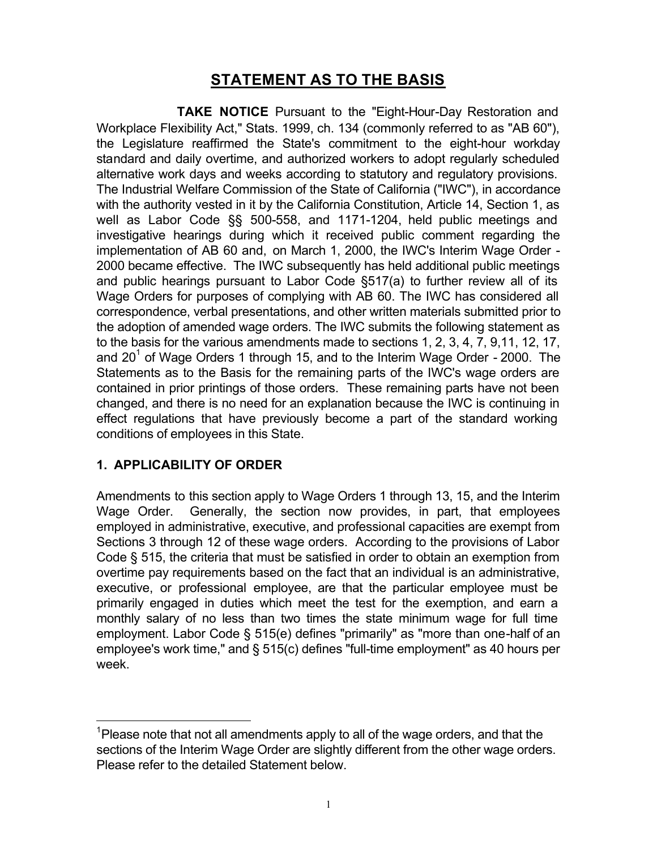# **STATEMENT AS TO THE BASIS**

 **TAKE NOTICE** Pursuant to the "Eight-Hour-Day Restoration and Workplace Flexibility Act," Stats. 1999, ch. 134 (commonly referred to as "AB 60"), the Legislature reaffirmed the State's commitment to the eight-hour workday standard and daily overtime, and authorized workers to adopt regularly scheduled alternative work days and weeks according to statutory and regulatory provisions. The Industrial Welfare Commission of the State of California ("IWC"), in accordance with the authority vested in it by the California Constitution, Article 14, Section 1, as well as Labor Code §§ 500-558, and 1171-1204, held public meetings and investigative hearings during which it received public comment regarding the implementation of AB 60 and, on March 1, 2000, the IWC's Interim Wage Order - 2000 became effective. The IWC subsequently has held additional public meetings and public hearings pursuant to Labor Code §517(a) to further review all of its Wage Orders for purposes of complying with AB 60. The IWC has considered all correspondence, verbal presentations, and other written materials submitted prior to the adoption of amended wage orders. The IWC submits the following statement as to the basis for the various amendments made to sections 1, 2, 3, 4, 7, 9,11, 12, 17, and 20 $^{\rm 1}$  of Wage Orders 1 through 15, and to the Interim Wage Order - 2000. The Statements as to the Basis for the remaining parts of the IWC's wage orders are contained in prior printings of those orders. These remaining parts have not been changed, and there is no need for an explanation because the IWC is continuing in effect regulations that have previously become a part of the standard working conditions of employees in this State.

## **1. APPLICABILITY OF ORDER**

 $\overline{a}$ 

Amendments to this section apply to Wage Orders 1 through 13, 15, and the Interim Wage Order. Generally, the section now provides, in part, that employees employed in administrative, executive, and professional capacities are exempt from Sections 3 through 12 of these wage orders. According to the provisions of Labor Code § 515, the criteria that must be satisfied in order to obtain an exemption from overtime pay requirements based on the fact that an individual is an administrative, executive, or professional employee, are that the particular employee must be primarily engaged in duties which meet the test for the exemption, and earn a monthly salary of no less than two times the state minimum wage for full time employment. Labor Code § 515(e) defines "primarily" as "more than one-half of an employee's work time," and § 515(c) defines "full-time employment" as 40 hours per week.

 $^{1}$ Please note that not all amendments apply to all of the wage orders, and that the sections of the Interim Wage Order are slightly different from the other wage orders. Please refer to the detailed Statement below.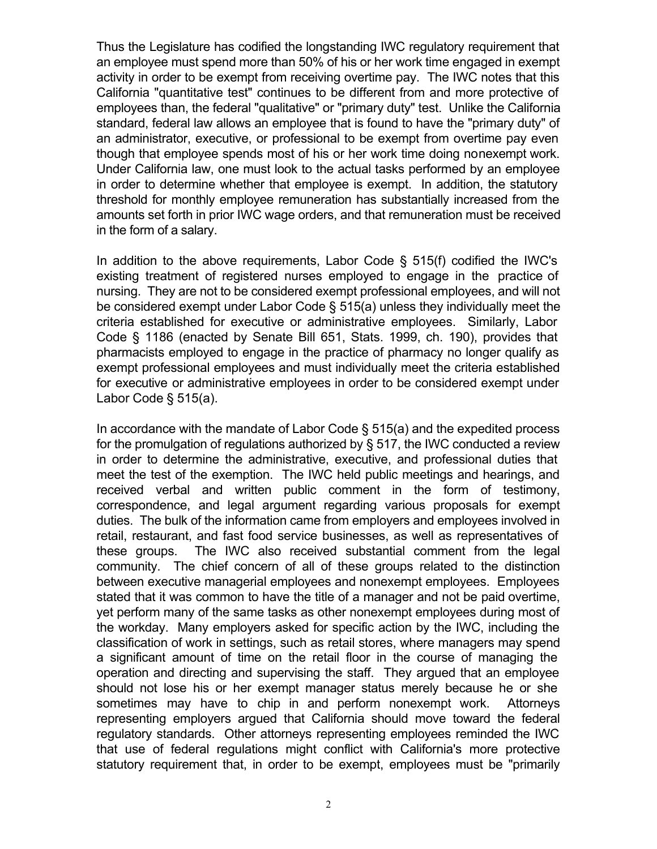Thus the Legislature has codified the longstanding IWC regulatory requirement that an employee must spend more than 50% of his or her work time engaged in exempt activity in order to be exempt from receiving overtime pay. The IWC notes that this California "quantitative test" continues to be different from and more protective of employees than, the federal "qualitative" or "primary duty" test. Unlike the California standard, federal law allows an employee that is found to have the "primary duty" of an administrator, executive, or professional to be exempt from overtime pay even though that employee spends most of his or her work time doing nonexempt work. Under California law, one must look to the actual tasks performed by an employee in order to determine whether that employee is exempt. In addition, the statutory threshold for monthly employee remuneration has substantially increased from the amounts set forth in prior IWC wage orders, and that remuneration must be received in the form of a salary.

In addition to the above requirements, Labor Code  $\S$  515(f) codified the IWC's existing treatment of registered nurses employed to engage in the practice of nursing. They are not to be considered exempt professional employees, and will not be considered exempt under Labor Code § 515(a) unless they individually meet the criteria established for executive or administrative employees. Similarly, Labor Code § 1186 (enacted by Senate Bill 651, Stats. 1999, ch. 190), provides that pharmacists employed to engage in the practice of pharmacy no longer qualify as exempt professional employees and must individually meet the criteria established for executive or administrative employees in order to be considered exempt under Labor Code § 515(a).

In accordance with the mandate of Labor Code § 515(a) and the expedited process for the promulgation of regulations authorized by § 517, the IWC conducted a review in order to determine the administrative, executive, and professional duties that meet the test of the exemption. The IWC held public meetings and hearings, and received verbal and written public comment in the form of testimony, correspondence, and legal argument regarding various proposals for exempt duties. The bulk of the information came from employers and employees involved in retail, restaurant, and fast food service businesses, as well as representatives of these groups. The IWC also received substantial comment from the legal community. The chief concern of all of these groups related to the distinction between executive managerial employees and nonexempt employees. Employees stated that it was common to have the title of a manager and not be paid overtime, yet perform many of the same tasks as other nonexempt employees during most of the workday. Many employers asked for specific action by the IWC, including the classification of work in settings, such as retail stores, where managers may spend a significant amount of time on the retail floor in the course of managing the operation and directing and supervising the staff. They argued that an employee should not lose his or her exempt manager status merely because he or she sometimes may have to chip in and perform nonexempt work. Attorneys representing employers argued that California should move toward the federal regulatory standards. Other attorneys representing employees reminded the IWC that use of federal regulations might conflict with California's more protective statutory requirement that, in order to be exempt, employees must be "primarily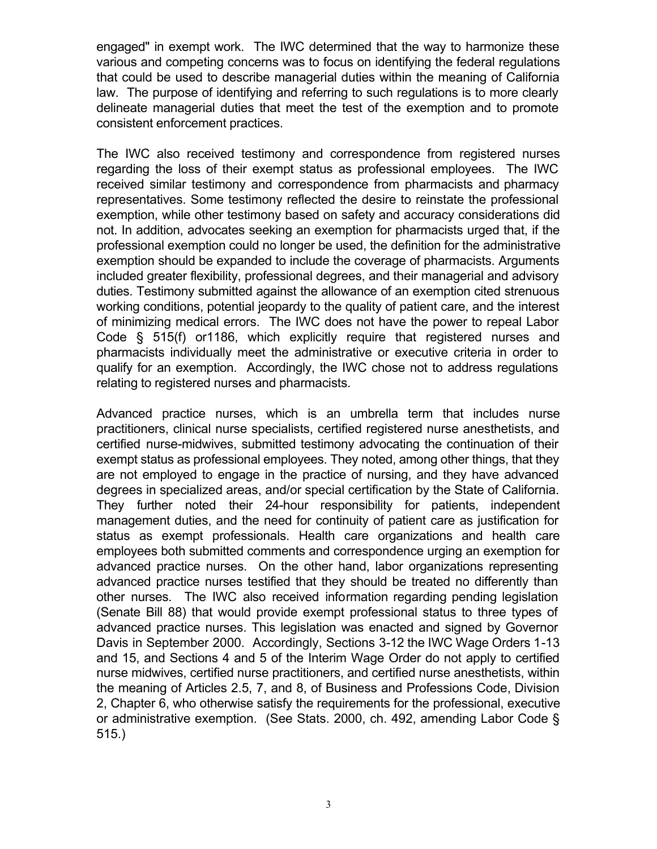engaged" in exempt work. The IWC determined that the way to harmonize these various and competing concerns was to focus on identifying the federal regulations that could be used to describe managerial duties within the meaning of California law. The purpose of identifying and referring to such regulations is to more clearly delineate managerial duties that meet the test of the exemption and to promote consistent enforcement practices.

The IWC also received testimony and correspondence from registered nurses regarding the loss of their exempt status as professional employees. The IWC received similar testimony and correspondence from pharmacists and pharmacy representatives. Some testimony reflected the desire to reinstate the professional exemption, while other testimony based on safety and accuracy considerations did not. In addition, advocates seeking an exemption for pharmacists urged that, if the professional exemption could no longer be used, the definition for the administrative exemption should be expanded to include the coverage of pharmacists. Arguments included greater flexibility, professional degrees, and their managerial and advisory duties. Testimony submitted against the allowance of an exemption cited strenuous working conditions, potential jeopardy to the quality of patient care, and the interest of minimizing medical errors. The IWC does not have the power to repeal Labor Code § 515(f) or1186, which explicitly require that registered nurses and pharmacists individually meet the administrative or executive criteria in order to qualify for an exemption. Accordingly, the IWC chose not to address regulations relating to registered nurses and pharmacists.

Advanced practice nurses, which is an umbrella term that includes nurse practitioners, clinical nurse specialists, certified registered nurse anesthetists, and certified nurse-midwives, submitted testimony advocating the continuation of their exempt status as professional employees. They noted, among other things, that they are not employed to engage in the practice of nursing, and they have advanced degrees in specialized areas, and/or special certification by the State of California. They further noted their 24-hour responsibility for patients, independent management duties, and the need for continuity of patient care as justification for status as exempt professionals. Health care organizations and health care employees both submitted comments and correspondence urging an exemption for advanced practice nurses. On the other hand, labor organizations representing advanced practice nurses testified that they should be treated no differently than other nurses. The IWC also received information regarding pending legislation (Senate Bill 88) that would provide exempt professional status to three types of advanced practice nurses. This legislation was enacted and signed by Governor Davis in September 2000. Accordingly, Sections 3-12 the IWC Wage Orders 1-13 and 15, and Sections 4 and 5 of the Interim Wage Order do not apply to certified nurse midwives, certified nurse practitioners, and certified nurse anesthetists, within the meaning of Articles 2.5, 7, and 8, of Business and Professions Code, Division 2, Chapter 6, who otherwise satisfy the requirements for the professional, executive or administrative exemption. (See Stats. 2000, ch. 492, amending Labor Code § 515.)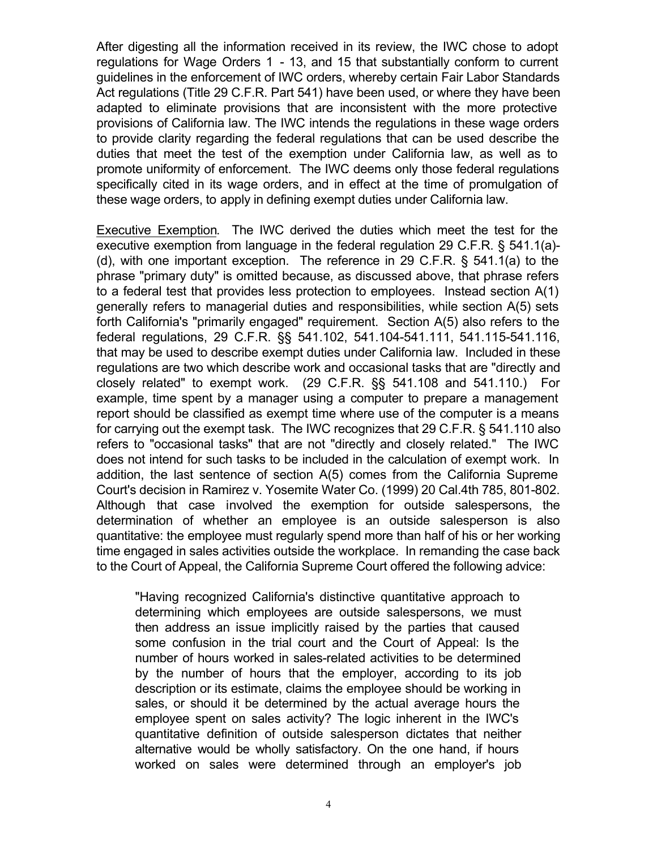After digesting all the information received in its review, the IWC chose to adopt regulations for Wage Orders 1 - 13, and 15 that substantially conform to current guidelines in the enforcement of IWC orders, whereby certain Fair Labor Standards Act regulations (Title 29 C.F.R. Part 541) have been used, or where they have been adapted to eliminate provisions that are inconsistent with the more protective provisions of California law. The IWC intends the regulations in these wage orders to provide clarity regarding the federal regulations that can be used describe the duties that meet the test of the exemption under California law, as well as to promote uniformity of enforcement. The IWC deems only those federal regulations specifically cited in its wage orders, and in effect at the time of promulgation of these wage orders, to apply in defining exempt duties under California law.

Executive Exemption. The IWC derived the duties which meet the test for the executive exemption from language in the federal regulation 29 C.F.R. § 541.1(a)- (d), with one important exception. The reference in 29 C.F.R. § 541.1(a) to the phrase "primary duty" is omitted because, as discussed above, that phrase refers to a federal test that provides less protection to employees. Instead section A(1) generally refers to managerial duties and responsibilities, while section A(5) sets forth California's "primarily engaged" requirement. Section A(5) also refers to the federal regulations, 29 C.F.R. §§ 541.102, 541.104-541.111, 541.115-541.116, that may be used to describe exempt duties under California law. Included in these regulations are two which describe work and occasional tasks that are "directly and closely related" to exempt work. (29 C.F.R. §§ 541.108 and 541.110.) For example, time spent by a manager using a computer to prepare a management report should be classified as exempt time where use of the computer is a means for carrying out the exempt task. The IWC recognizes that 29 C.F.R. § 541.110 also refers to "occasional tasks" that are not "directly and closely related." The IWC does not intend for such tasks to be included in the calculation of exempt work. In addition, the last sentence of section A(5) comes from the California Supreme Court's decision in Ramirez v. Yosemite Water Co. (1999) 20 Cal.4th 785, 801-802. Although that case involved the exemption for outside salespersons, the determination of whether an employee is an outside salesperson is also quantitative: the employee must regularly spend more than half of his or her working time engaged in sales activities outside the workplace. In remanding the case back to the Court of Appeal, the California Supreme Court offered the following advice:

"Having recognized California's distinctive quantitative approach to determining which employees are outside salespersons, we must then address an issue implicitly raised by the parties that caused some confusion in the trial court and the Court of Appeal: Is the number of hours worked in sales-related activities to be determined by the number of hours that the employer, according to its job description or its estimate, claims the employee should be working in sales, or should it be determined by the actual average hours the employee spent on sales activity? The logic inherent in the IWC's quantitative definition of outside salesperson dictates that neither alternative would be wholly satisfactory. On the one hand, if hours worked on sales were determined through an employer's job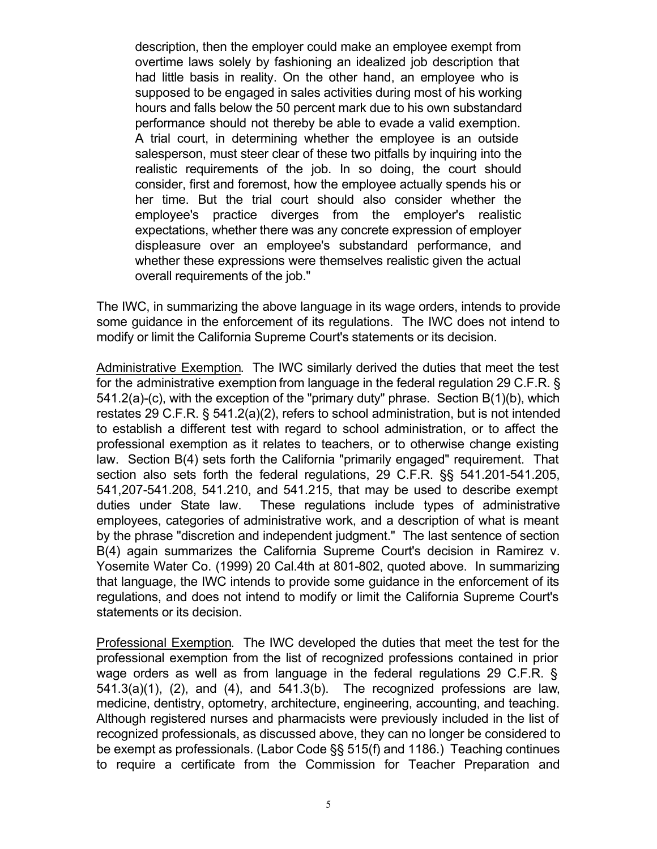description, then the employer could make an employee exempt from overtime laws solely by fashioning an idealized job description that had little basis in reality. On the other hand, an employee who is supposed to be engaged in sales activities during most of his working hours and falls below the 50 percent mark due to his own substandard performance should not thereby be able to evade a valid exemption. A trial court, in determining whether the employee is an outside salesperson, must steer clear of these two pitfalls by inquiring into the realistic requirements of the job. In so doing, the court should consider, first and foremost, how the employee actually spends his or her time. But the trial court should also consider whether the employee's practice diverges from the employer's realistic expectations, whether there was any concrete expression of employer displeasure over an employee's substandard performance, and whether these expressions were themselves realistic given the actual overall requirements of the job."

The IWC, in summarizing the above language in its wage orders, intends to provide some guidance in the enforcement of its regulations. The IWC does not intend to modify or limit the California Supreme Court's statements or its decision.

Administrative Exemption. The IWC similarly derived the duties that meet the test for the administrative exemption from language in the federal regulation 29 C.F.R. § 541.2(a)-(c), with the exception of the "primary duty" phrase. Section B(1)(b), which restates 29 C.F.R. § 541.2(a)(2), refers to school administration, but is not intended to establish a different test with regard to school administration, or to affect the professional exemption as it relates to teachers, or to otherwise change existing law. Section B(4) sets forth the California "primarily engaged" requirement. That section also sets forth the federal regulations, 29 C.F.R. §§ 541.201-541.205, 541,207-541.208, 541.210, and 541.215, that may be used to describe exempt duties under State law. These regulations include types of administrative employees, categories of administrative work, and a description of what is meant by the phrase "discretion and independent judgment." The last sentence of section B(4) again summarizes the California Supreme Court's decision in Ramirez v. Yosemite Water Co. (1999) 20 Cal.4th at 801-802, quoted above. In summarizing that language, the IWC intends to provide some guidance in the enforcement of its regulations, and does not intend to modify or limit the California Supreme Court's statements or its decision.

Professional Exemption. The IWC developed the duties that meet the test for the professional exemption from the list of recognized professions contained in prior wage orders as well as from language in the federal regulations 29 C.F.R. § 541.3(a)(1), (2), and (4), and 541.3(b). The recognized professions are law, medicine, dentistry, optometry, architecture, engineering, accounting, and teaching. Although registered nurses and pharmacists were previously included in the list of recognized professionals, as discussed above, they can no longer be considered to be exempt as professionals. (Labor Code §§ 515(f) and 1186.) Teaching continues to require a certificate from the Commission for Teacher Preparation and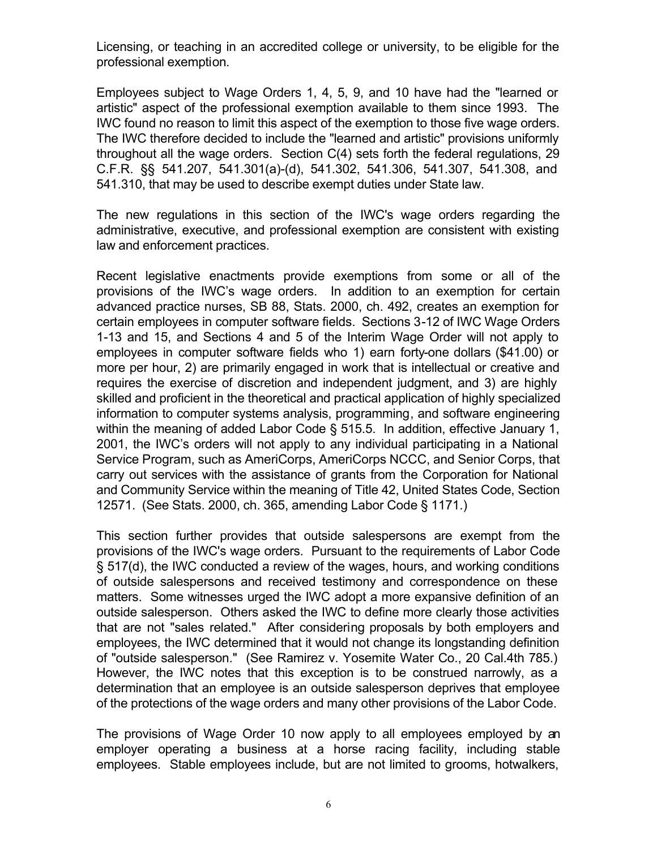Licensing, or teaching in an accredited college or university, to be eligible for the professional exemption.

Employees subject to Wage Orders 1, 4, 5, 9, and 10 have had the "learned or artistic" aspect of the professional exemption available to them since 1993. The IWC found no reason to limit this aspect of the exemption to those five wage orders. The IWC therefore decided to include the "learned and artistic" provisions uniformly throughout all the wage orders. Section C(4) sets forth the federal regulations, 29 C.F.R. §§ 541.207, 541.301(a)-(d), 541.302, 541.306, 541.307, 541.308, and 541.310, that may be used to describe exempt duties under State law.

The new regulations in this section of the IWC's wage orders regarding the administrative, executive, and professional exemption are consistent with existing law and enforcement practices.

Recent legislative enactments provide exemptions from some or all of the provisions of the IWC's wage orders. In addition to an exemption for certain advanced practice nurses, SB 88, Stats. 2000, ch. 492, creates an exemption for certain employees in computer software fields. Sections 3-12 of IWC Wage Orders 1-13 and 15, and Sections 4 and 5 of the Interim Wage Order will not apply to employees in computer software fields who 1) earn forty-one dollars (\$41.00) or more per hour, 2) are primarily engaged in work that is intellectual or creative and requires the exercise of discretion and independent judgment, and 3) are highly skilled and proficient in the theoretical and practical application of highly specialized information to computer systems analysis, programming, and software engineering within the meaning of added Labor Code § 515.5. In addition, effective January 1, 2001, the IWC's orders will not apply to any individual participating in a National Service Program, such as AmeriCorps, AmeriCorps NCCC, and Senior Corps, that carry out services with the assistance of grants from the Corporation for National and Community Service within the meaning of Title 42, United States Code, Section 12571. (See Stats. 2000, ch. 365, amending Labor Code § 1171.)

This section further provides that outside salespersons are exempt from the provisions of the IWC's wage orders. Pursuant to the requirements of Labor Code § 517(d), the IWC conducted a review of the wages, hours, and working conditions of outside salespersons and received testimony and correspondence on these matters. Some witnesses urged the IWC adopt a more expansive definition of an outside salesperson. Others asked the IWC to define more clearly those activities that are not "sales related." After considering proposals by both employers and employees, the IWC determined that it would not change its longstanding definition of "outside salesperson." (See Ramirez v. Yosemite Water Co., 20 Cal.4th 785.) However, the IWC notes that this exception is to be construed narrowly, as a determination that an employee is an outside salesperson deprives that employee of the protections of the wage orders and many other provisions of the Labor Code.

The provisions of Wage Order 10 now apply to all employees employed by an employer operating a business at a horse racing facility, including stable employees. Stable employees include, but are not limited to grooms, hotwalkers,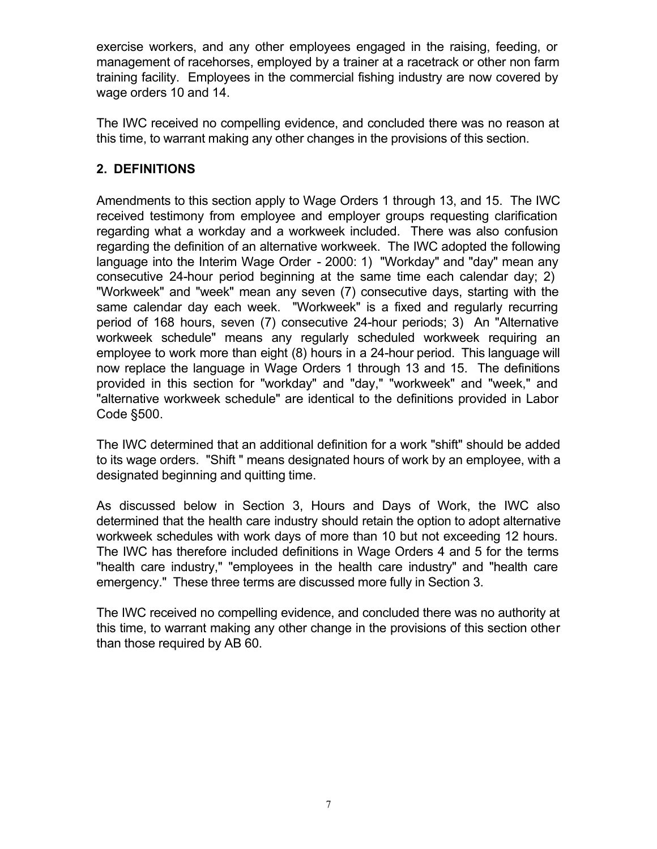exercise workers, and any other employees engaged in the raising, feeding, or management of racehorses, employed by a trainer at a racetrack or other non farm training facility. Employees in the commercial fishing industry are now covered by wage orders 10 and 14.

The IWC received no compelling evidence, and concluded there was no reason at this time, to warrant making any other changes in the provisions of this section.

## **2. DEFINITIONS**

Amendments to this section apply to Wage Orders 1 through 13, and 15. The IWC received testimony from employee and employer groups requesting clarification regarding what a workday and a workweek included. There was also confusion regarding the definition of an alternative workweek. The IWC adopted the following language into the Interim Wage Order - 2000: 1) "Workday" and "day" mean any consecutive 24-hour period beginning at the same time each calendar day; 2) "Workweek" and "week" mean any seven (7) consecutive days, starting with the same calendar day each week. "Workweek" is a fixed and regularly recurring period of 168 hours, seven (7) consecutive 24-hour periods; 3) An "Alternative workweek schedule" means any regularly scheduled workweek requiring an employee to work more than eight (8) hours in a 24-hour period. This language will now replace the language in Wage Orders 1 through 13 and 15. The definitions provided in this section for "workday" and "day," "workweek" and "week," and "alternative workweek schedule" are identical to the definitions provided in Labor Code §500.

The IWC determined that an additional definition for a work "shift" should be added to its wage orders. "Shift " means designated hours of work by an employee, with a designated beginning and quitting time.

As discussed below in Section 3, Hours and Days of Work, the IWC also determined that the health care industry should retain the option to adopt alternative workweek schedules with work days of more than 10 but not exceeding 12 hours. The IWC has therefore included definitions in Wage Orders 4 and 5 for the terms "health care industry," "employees in the health care industry" and "health care emergency." These three terms are discussed more fully in Section 3.

The IWC received no compelling evidence, and concluded there was no authority at this time, to warrant making any other change in the provisions of this section other than those required by AB 60.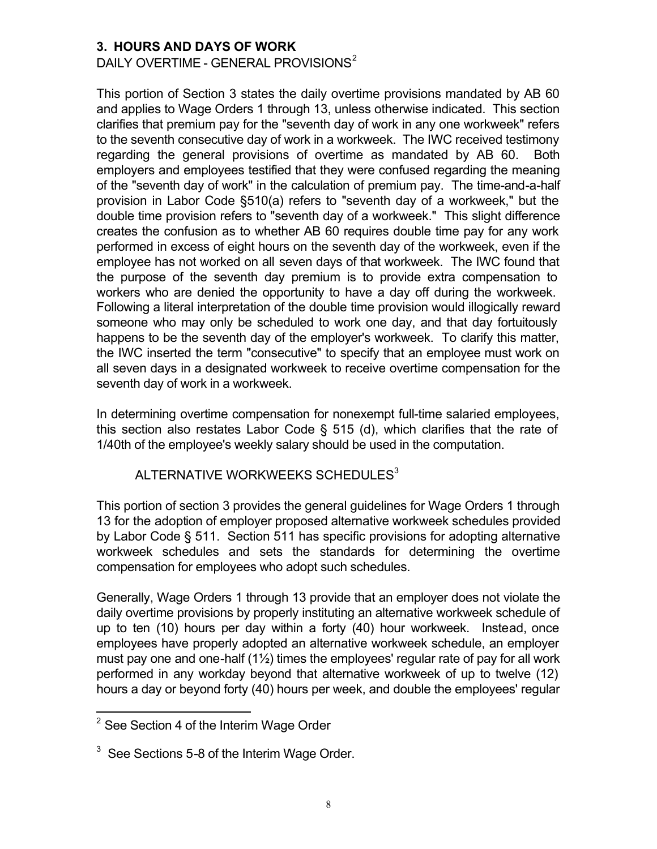#### **3. HOURS AND DAYS OF WORK**

DAILY OVERTIME - GENERAL PROVISIONS<sup>2</sup>

This portion of Section 3 states the daily overtime provisions mandated by AB 60 and applies to Wage Orders 1 through 13, unless otherwise indicated. This section clarifies that premium pay for the "seventh day of work in any one workweek" refers to the seventh consecutive day of work in a workweek. The IWC received testimony regarding the general provisions of overtime as mandated by AB 60. Both employers and employees testified that they were confused regarding the meaning of the "seventh day of work" in the calculation of premium pay. The time-and-a-half provision in Labor Code §510(a) refers to "seventh day of a workweek," but the double time provision refers to "seventh day of a workweek." This slight difference creates the confusion as to whether AB 60 requires double time pay for any work performed in excess of eight hours on the seventh day of the workweek, even if the employee has not worked on all seven days of that workweek. The IWC found that the purpose of the seventh day premium is to provide extra compensation to workers who are denied the opportunity to have a day off during the workweek. Following a literal interpretation of the double time provision would illogically reward someone who may only be scheduled to work one day, and that day fortuitously happens to be the seventh day of the employer's workweek. To clarify this matter, the IWC inserted the term "consecutive" to specify that an employee must work on all seven days in a designated workweek to receive overtime compensation for the seventh day of work in a workweek.

In determining overtime compensation for nonexempt full-time salaried employees, this section also restates Labor Code § 515 (d), which clarifies that the rate of 1/40th of the employee's weekly salary should be used in the computation.

#### ALTERNATIVE WORKWEEKS SCHEDULES<sup>3</sup>

This portion of section 3 provides the general guidelines for Wage Orders 1 through 13 for the adoption of employer proposed alternative workweek schedules provided by Labor Code § 511. Section 511 has specific provisions for adopting alternative workweek schedules and sets the standards for determining the overtime compensation for employees who adopt such schedules.

Generally, Wage Orders 1 through 13 provide that an employer does not violate the daily overtime provisions by properly instituting an alternative workweek schedule of up to ten (10) hours per day within a forty (40) hour workweek. Instead, once employees have properly adopted an alternative workweek schedule, an employer must pay one and one-half  $(1\frac{1}{2})$  times the employees' regular rate of pay for all work performed in any workday beyond that alternative workweek of up to twelve (12) hours a day or beyond forty (40) hours per week, and double the employees' regular

<sup>&</sup>lt;u>.</u>  $^{\rm 2}$  See Section 4 of the Interim Wage Order

 $^3$  See Sections 5-8 of the Interim Wage Order.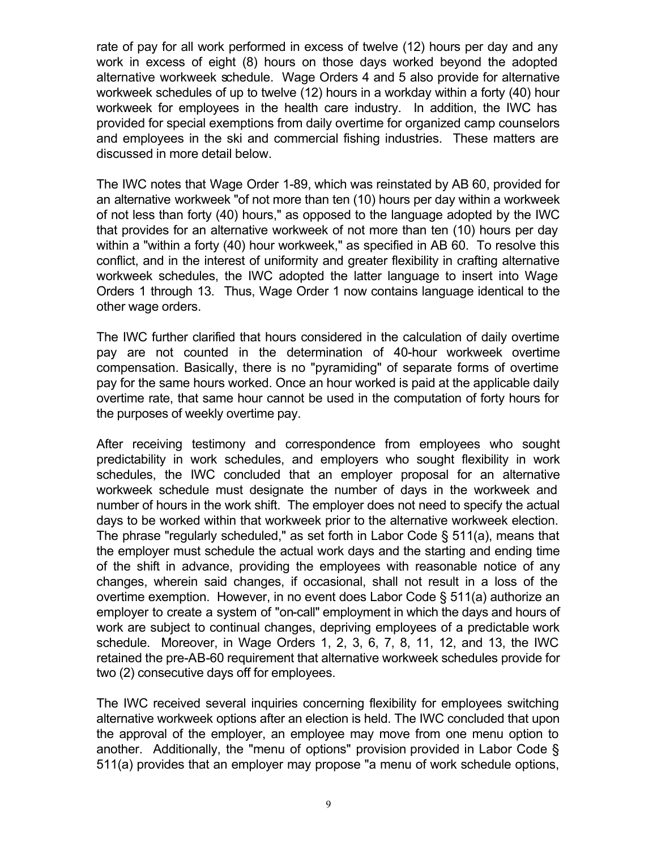rate of pay for all work performed in excess of twelve (12) hours per day and any work in excess of eight (8) hours on those days worked beyond the adopted alternative workweek schedule. Wage Orders 4 and 5 also provide for alternative workweek schedules of up to twelve (12) hours in a workday within a forty (40) hour workweek for employees in the health care industry. In addition, the IWC has provided for special exemptions from daily overtime for organized camp counselors and employees in the ski and commercial fishing industries. These matters are discussed in more detail below.

The IWC notes that Wage Order 1-89, which was reinstated by AB 60, provided for an alternative workweek "of not more than ten (10) hours per day within a workweek of not less than forty (40) hours," as opposed to the language adopted by the IWC that provides for an alternative workweek of not more than ten (10) hours per day within a "within a forty (40) hour workweek," as specified in AB 60. To resolve this conflict, and in the interest of uniformity and greater flexibility in crafting alternative workweek schedules, the IWC adopted the latter language to insert into Wage Orders 1 through 13. Thus, Wage Order 1 now contains language identical to the other wage orders.

 the purposes of weekly overtime pay. The IWC further clarified that hours considered in the calculation of daily overtime pay are not counted in the determination of 40-hour workweek overtime compensation. Basically, there is no "pyramiding" of separate forms of overtime pay for the same hours worked. Once an hour worked is paid at the applicable daily overtime rate, that same hour cannot be used in the computation of forty hours for

After receiving testimony and correspondence from employees who sought predictability in work schedules, and employers who sought flexibility in work schedules, the IWC concluded that an employer proposal for an alternative workweek schedule must designate the number of days in the workweek and number of hours in the work shift. The employer does not need to specify the actual days to be worked within that workweek prior to the alternative workweek election. The phrase "regularly scheduled," as set forth in Labor Code § 511(a), means that the employer must schedule the actual work days and the starting and ending time of the shift in advance, providing the employees with reasonable notice of any changes, wherein said changes, if occasional, shall not result in a loss of the overtime exemption. However, in no event does Labor Code § 511(a) authorize an employer to create a system of "on-call" employment in which the days and hours of work are subject to continual changes, depriving employees of a predictable work schedule. Moreover, in Wage Orders 1, 2, 3, 6, 7, 8, 11, 12, and 13, the IWC retained the pre-AB-60 requirement that alternative workweek schedules provide for two (2) consecutive days off for employees.

The IWC received several inquiries concerning flexibility for employees switching alternative workweek options after an election is held. The IWC concluded that upon the approval of the employer, an employee may move from one menu option to another. Additionally, the "menu of options" provision provided in Labor Code § 511(a) provides that an employer may propose "a menu of work schedule options,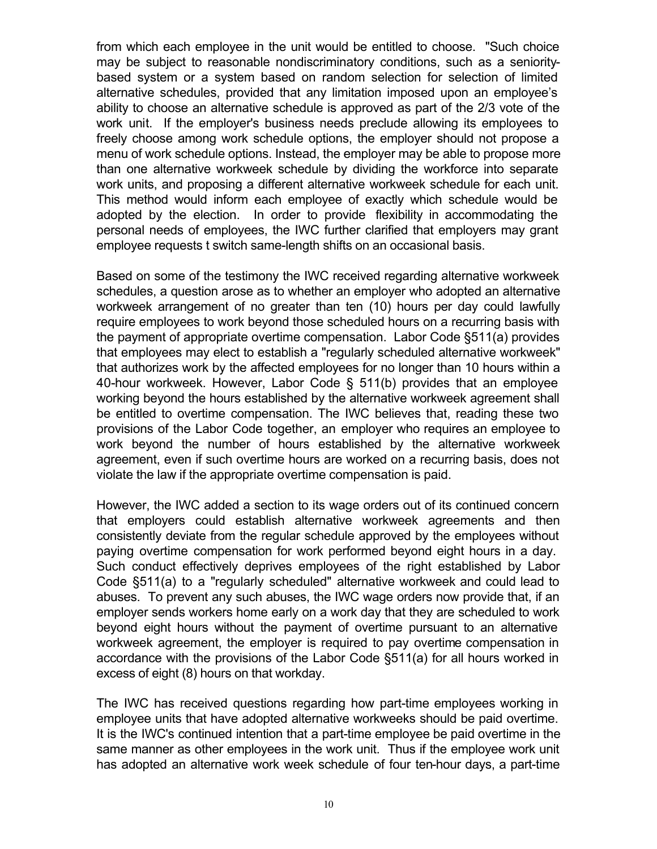from which each employee in the unit would be entitled to choose. "Such choice may be subject to reasonable nondiscriminatory conditions, such as a senioritybased system or a system based on random selection for selection of limited alternative schedules, provided that any limitation imposed upon an employee's ability to choose an alternative schedule is approved as part of the 2/3 vote of the work unit. If the employer's business needs preclude allowing its employees to freely choose among work schedule options, the employer should not propose a menu of work schedule options. Instead, the employer may be able to propose more than one alternative workweek schedule by dividing the workforce into separate work units, and proposing a different alternative workweek schedule for each unit. This method would inform each employee of exactly which schedule would be adopted by the election. In order to provide flexibility in accommodating the personal needs of employees, the IWC further clarified that employers may grant employee requests t switch same-length shifts on an occasional basis.

Based on some of the testimony the IWC received regarding alternative workweek schedules, a question arose as to whether an employer who adopted an alternative workweek arrangement of no greater than ten (10) hours per day could lawfully require employees to work beyond those scheduled hours on a recurring basis with the payment of appropriate overtime compensation. Labor Code §511(a) provides that employees may elect to establish a "regularly scheduled alternative workweek" that authorizes work by the affected employees for no longer than 10 hours within a 40-hour workweek. However, Labor Code § 511(b) provides that an employee working beyond the hours established by the alternative workweek agreement shall be entitled to overtime compensation. The IWC believes that, reading these two provisions of the Labor Code together, an employer who requires an employee to work beyond the number of hours established by the alternative workweek agreement, even if such overtime hours are worked on a recurring basis, does not violate the law if the appropriate overtime compensation is paid.

However, the IWC added a section to its wage orders out of its continued concern that employers could establish alternative workweek agreements and then consistently deviate from the regular schedule approved by the employees without paying overtime compensation for work performed beyond eight hours in a day. Such conduct effectively deprives employees of the right established by Labor Code §511(a) to a "regularly scheduled" alternative workweek and could lead to abuses. To prevent any such abuses, the IWC wage orders now provide that, if an employer sends workers home early on a work day that they are scheduled to work beyond eight hours without the payment of overtime pursuant to an alternative workweek agreement, the employer is required to pay overtime compensation in accordance with the provisions of the Labor Code §511(a) for all hours worked in excess of eight (8) hours on that workday.

The IWC has received questions regarding how part-time employees working in employee units that have adopted alternative workweeks should be paid overtime. It is the IWC's continued intention that a part-time employee be paid overtime in the same manner as other employees in the work unit. Thus if the employee work unit has adopted an alternative work week schedule of four ten-hour days, a part-time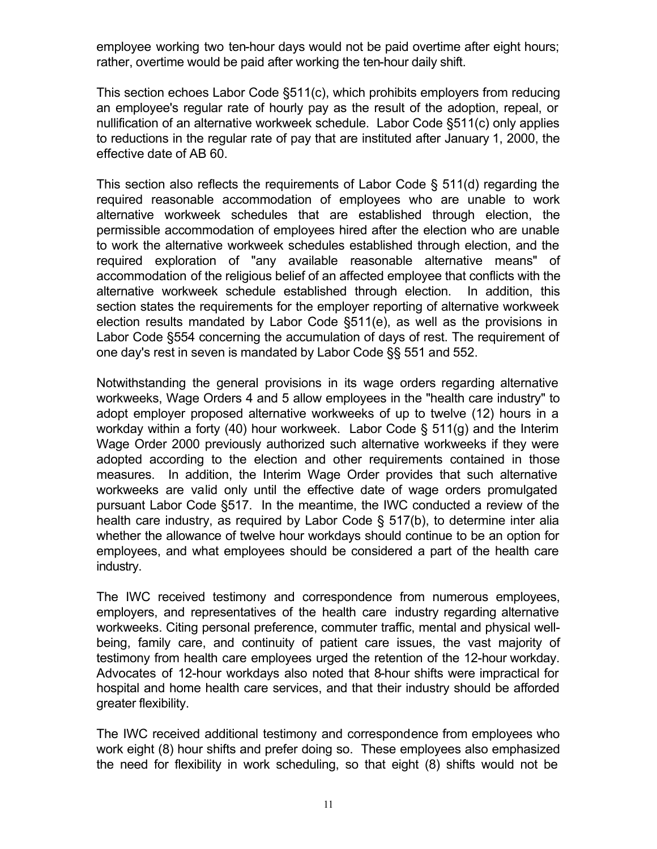employee working two ten-hour days would not be paid overtime after eight hours; rather, overtime would be paid after working the ten-hour daily shift.

This section echoes Labor Code §511(c), which prohibits employers from reducing an employee's regular rate of hourly pay as the result of the adoption, repeal, or nullification of an alternative workweek schedule. Labor Code §511(c) only applies to reductions in the regular rate of pay that are instituted after January 1, 2000, the effective date of AB 60.

This section also reflects the requirements of Labor Code § 511(d) regarding the required reasonable accommodation of employees who are unable to work alternative workweek schedules that are established through election, the permissible accommodation of employees hired after the election who are unable to work the alternative workweek schedules established through election, and the required exploration of "any available reasonable alternative means" of accommodation of the religious belief of an affected employee that conflicts with the alternative workweek schedule established through election. In addition, this section states the requirements for the employer reporting of alternative workweek election results mandated by Labor Code §511(e), as well as the provisions in Labor Code §554 concerning the accumulation of days of rest. The requirement of one day's rest in seven is mandated by Labor Code §§ 551 and 552.

Notwithstanding the general provisions in its wage orders regarding alternative workweeks, Wage Orders 4 and 5 allow employees in the "health care industry" to adopt employer proposed alternative workweeks of up to twelve (12) hours in a workday within a forty (40) hour workweek. Labor Code § 511(g) and the Interim Wage Order 2000 previously authorized such alternative workweeks if they were adopted according to the election and other requirements contained in those measures. In addition, the Interim Wage Order provides that such alternative workweeks are valid only until the effective date of wage orders promulgated pursuant Labor Code §517. In the meantime, the IWC conducted a review of the health care industry, as required by Labor Code § 517(b), to determine inter alia whether the allowance of twelve hour workdays should continue to be an option for employees, and what employees should be considered a part of the health care industry.

The IWC received testimony and correspondence from numerous employees, employers, and representatives of the health care industry regarding alternative workweeks. Citing personal preference, commuter traffic, mental and physical wellbeing, family care, and continuity of patient care issues, the vast majority of testimony from health care employees urged the retention of the 12-hour workday. Advocates of 12-hour workdays also noted that 8-hour shifts were impractical for hospital and home health care services, and that their industry should be afforded greater flexibility.

The IWC received additional testimony and correspondence from employees who work eight (8) hour shifts and prefer doing so. These employees also emphasized the need for flexibility in work scheduling, so that eight (8) shifts would not be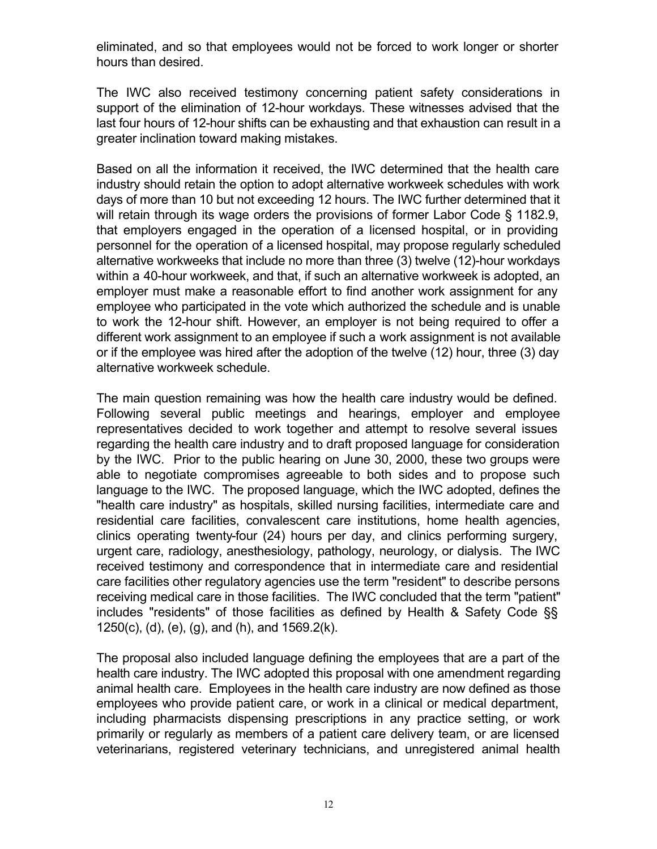eliminated, and so that employees would not be forced to work longer or shorter hours than desired.

The IWC also received testimony concerning patient safety considerations in support of the elimination of 12-hour workdays. These witnesses advised that the last four hours of 12-hour shifts can be exhausting and that exhaustion can result in a greater inclination toward making mistakes.

Based on all the information it received, the IWC determined that the health care industry should retain the option to adopt alternative workweek schedules with work days of more than 10 but not exceeding 12 hours. The IWC further determined that it will retain through its wage orders the provisions of former Labor Code § 1182.9, that employers engaged in the operation of a licensed hospital, or in providing personnel for the operation of a licensed hospital, may propose regularly scheduled alternative workweeks that include no more than three (3) twelve (12)-hour workdays within a 40-hour workweek, and that, if such an alternative workweek is adopted, an employer must make a reasonable effort to find another work assignment for any employee who participated in the vote which authorized the schedule and is unable to work the 12-hour shift. However, an employer is not being required to offer a different work assignment to an employee if such a work assignment is not available or if the employee was hired after the adoption of the twelve (12) hour, three (3) day alternative workweek schedule.

The main question remaining was how the health care industry would be defined. Following several public meetings and hearings, employer and employee representatives decided to work together and attempt to resolve several issues regarding the health care industry and to draft proposed language for consideration by the IWC. Prior to the public hearing on June 30, 2000, these two groups were able to negotiate compromises agreeable to both sides and to propose such language to the IWC. The proposed language, which the IWC adopted, defines the "health care industry" as hospitals, skilled nursing facilities, intermediate care and residential care facilities, convalescent care institutions, home health agencies, clinics operating twenty-four (24) hours per day, and clinics performing surgery, urgent care, radiology, anesthesiology, pathology, neurology, or dialysis. The IWC received testimony and correspondence that in intermediate care and residential care facilities other regulatory agencies use the term "resident" to describe persons receiving medical care in those facilities. The IWC concluded that the term "patient" includes "residents" of those facilities as defined by Health & Safety Code §§ 1250(c), (d), (e), (g), and (h), and 1569.2(k).

The proposal also included language defining the employees that are a part of the health care industry. The IWC adopted this proposal with one amendment regarding animal health care. Employees in the health care industry are now defined as those employees who provide patient care, or work in a clinical or medical department, including pharmacists dispensing prescriptions in any practice setting, or work primarily or regularly as members of a patient care delivery team, or are licensed veterinarians, registered veterinary technicians, and unregistered animal health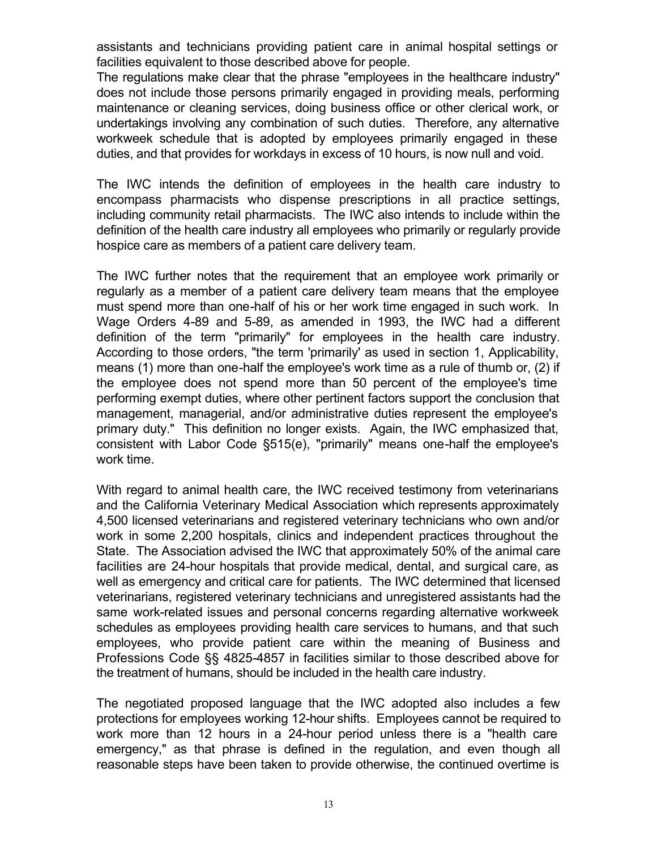assistants and technicians providing patient care in animal hospital settings or facilities equivalent to those described above for people.

The regulations make clear that the phrase "employees in the healthcare industry" does not include those persons primarily engaged in providing meals, performing maintenance or cleaning services, doing business office or other clerical work, or undertakings involving any combination of such duties. Therefore, any alternative workweek schedule that is adopted by employees primarily engaged in these duties, and that provides for workdays in excess of 10 hours, is now null and void.

The IWC intends the definition of employees in the health care industry to encompass pharmacists who dispense prescriptions in all practice settings, including community retail pharmacists. The IWC also intends to include within the definition of the health care industry all employees who primarily or regularly provide hospice care as members of a patient care delivery team.

definition of the term "primarily" for employees in the health care industry. The IWC further notes that the requirement that an employee work primarily or regularly as a member of a patient care delivery team means that the employee must spend more than one-half of his or her work time engaged in such work. In Wage Orders 4-89 and 5-89, as amended in 1993, the IWC had a different According to those orders, "the term 'primarily' as used in section 1, Applicability, means (1) more than one-half the employee's work time as a rule of thumb or, (2) if the employee does not spend more than 50 percent of the employee's time performing exempt duties, where other pertinent factors support the conclusion that management, managerial, and/or administrative duties represent the employee's primary duty." This definition no longer exists. Again, the IWC emphasized that, consistent with Labor Code §515(e), "primarily" means one-half the employee's work time.

With regard to animal health care, the IWC received testimony from veterinarians and the California Veterinary Medical Association which represents approximately 4,500 licensed veterinarians and registered veterinary technicians who own and/or work in some 2,200 hospitals, clinics and independent practices throughout the State. The Association advised the IWC that approximately 50% of the animal care facilities are 24-hour hospitals that provide medical, dental, and surgical care, as well as emergency and critical care for patients. The IWC determined that licensed veterinarians, registered veterinary technicians and unregistered assistants had the same work-related issues and personal concerns regarding alternative workweek schedules as employees providing health care services to humans, and that such employees, who provide patient care within the meaning of Business and Professions Code §§ 4825-4857 in facilities similar to those described above for the treatment of humans, should be included in the health care industry.

The negotiated proposed language that the IWC adopted also includes a few protections for employees working 12-hour shifts. Employees cannot be required to work more than 12 hours in a 24-hour period unless there is a "health care emergency," as that phrase is defined in the regulation, and even though all reasonable steps have been taken to provide otherwise, the continued overtime is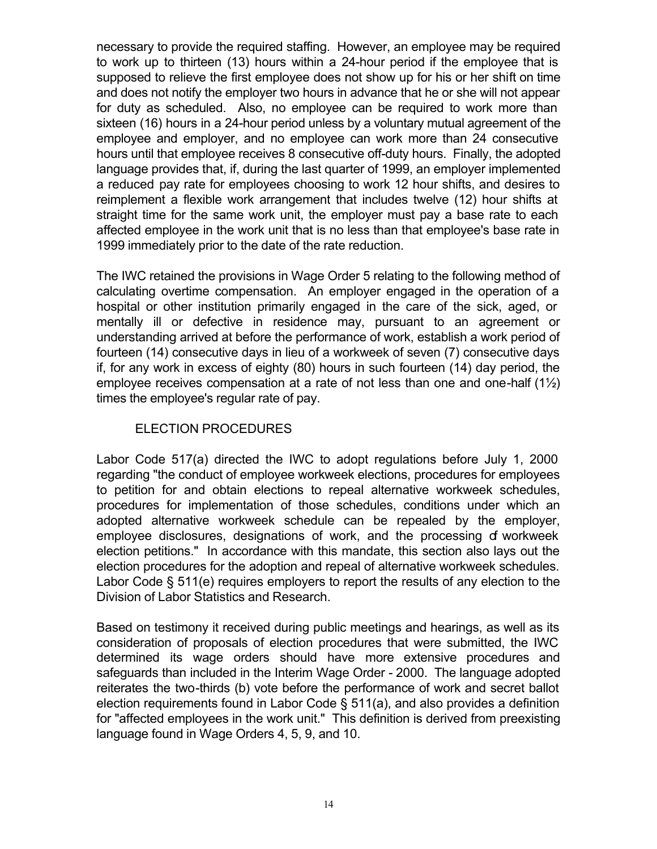necessary to provide the required staffing. However, an employee may be required to work up to thirteen (13) hours within a 24-hour period if the employee that is supposed to relieve the first employee does not show up for his or her shift on time and does not notify the employer two hours in advance that he or she will not appear for duty as scheduled. Also, no employee can be required to work more than sixteen (16) hours in a 24-hour period unless by a voluntary mutual agreement of the employee and employer, and no employee can work more than 24 consecutive hours until that employee receives 8 consecutive off-duty hours. Finally, the adopted language provides that, if, during the last quarter of 1999, an employer implemented a reduced pay rate for employees choosing to work 12 hour shifts, and desires to reimplement a flexible work arrangement that includes twelve (12) hour shifts at straight time for the same work unit, the employer must pay a base rate to each affected employee in the work unit that is no less than that employee's base rate in 1999 immediately prior to the date of the rate reduction.

The IWC retained the provisions in Wage Order 5 relating to the following method of calculating overtime compensation. An employer engaged in the operation of a hospital or other institution primarily engaged in the care of the sick, aged, or mentally ill or defective in residence may, pursuant to an agreement or understanding arrived at before the performance of work, establish a work period of fourteen (14) consecutive days in lieu of a workweek of seven (7) consecutive days if, for any work in excess of eighty (80) hours in such fourteen (14) day period, the employee receives compensation at a rate of not less than one and one-half  $(1\frac{1}{2})$ times the employee's regular rate of pay.

#### ELECTION PROCEDURES

Labor Code 517(a) directed the IWC to adopt regulations before July 1, 2000 regarding "the conduct of employee workweek elections, procedures for employees to petition for and obtain elections to repeal alternative workweek schedules, procedures for implementation of those schedules, conditions under which an adopted alternative workweek schedule can be repealed by the employer, employee disclosures, designations of work, and the processing of workweek election petitions." In accordance with this mandate, this section also lays out the election procedures for the adoption and repeal of alternative workweek schedules. Labor Code § 511(e) requires employers to report the results of any election to the Division of Labor Statistics and Research.

Based on testimony it received during public meetings and hearings, as well as its consideration of proposals of election procedures that were submitted, the IWC determined its wage orders should have more extensive procedures and safeguards than included in the Interim Wage Order - 2000. The language adopted reiterates the two-thirds (b) vote before the performance of work and secret ballot election requirements found in Labor Code § 511(a), and also provides a definition for "affected employees in the work unit." This definition is derived from preexisting language found in Wage Orders 4, 5, 9, and 10.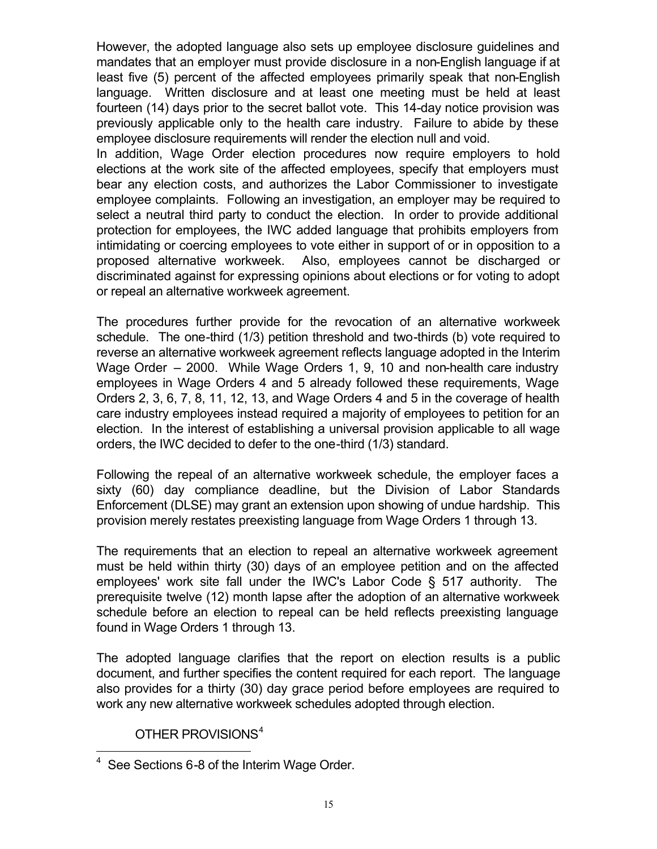However, the adopted language also sets up employee disclosure guidelines and mandates that an employer must provide disclosure in a non-English language if at least five (5) percent of the affected employees primarily speak that non-English language. Written disclosure and at least one meeting must be held at least fourteen (14) days prior to the secret ballot vote. This 14-day notice provision was previously applicable only to the health care industry. Failure to abide by these employee disclosure requirements will render the election null and void.

In addition, Wage Order election procedures now require employers to hold elections at the work site of the affected employees, specify that employers must bear any election costs, and authorizes the Labor Commissioner to investigate employee complaints. Following an investigation, an employer may be required to select a neutral third party to conduct the election. In order to provide additional protection for employees, the IWC added language that prohibits employers from intimidating or coercing employees to vote either in support of or in opposition to a proposed alternative workweek. Also, employees cannot be discharged or discriminated against for expressing opinions about elections or for voting to adopt or repeal an alternative workweek agreement.

The procedures further provide for the revocation of an alternative workweek schedule. The one-third (1/3) petition threshold and two-thirds (b) vote required to reverse an alternative workweek agreement reflects language adopted in the Interim Wage Order – 2000. While Wage Orders 1, 9, 10 and non-health care industry employees in Wage Orders 4 and 5 already followed these requirements, Wage Orders 2, 3, 6, 7, 8, 11, 12, 13, and Wage Orders 4 and 5 in the coverage of health care industry employees instead required a majority of employees to petition for an election. In the interest of establishing a universal provision applicable to all wage orders, the IWC decided to defer to the one-third (1/3) standard.

Following the repeal of an alternative workweek schedule, the employer faces a sixty (60) day compliance deadline, but the Division of Labor Standards Enforcement (DLSE) may grant an extension upon showing of undue hardship. This provision merely restates preexisting language from Wage Orders 1 through 13.

The requirements that an election to repeal an alternative workweek agreement must be held within thirty (30) days of an employee petition and on the affected employees' work site fall under the IWC's Labor Code § 517 authority. The prerequisite twelve (12) month lapse after the adoption of an alternative workweek schedule before an election to repeal can be held reflects preexisting language found in Wage Orders 1 through 13.

The adopted language clarifies that the report on election results is a public document, and further specifies the content required for each report. The language also provides for a thirty (30) day grace period before employees are required to work any new alternative workweek schedules adopted through election.

#### OTHER PROVISIONS<sup>4</sup>

 4 See Sections 6-8 of the Interim Wage Order.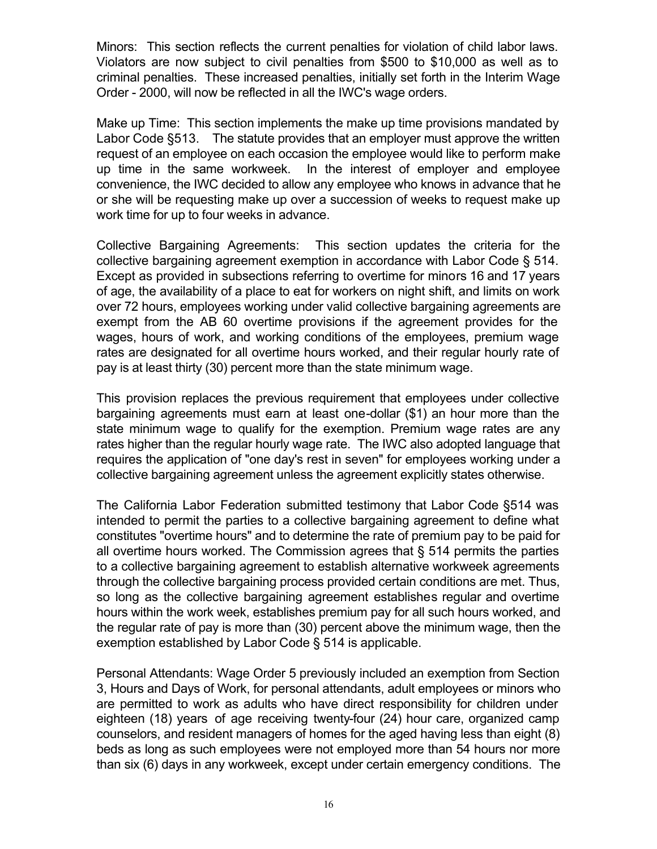Minors: This section reflects the current penalties for violation of child labor laws. Violators are now subject to civil penalties from \$500 to \$10,000 as well as to criminal penalties. These increased penalties, initially set forth in the Interim Wage Order - 2000, will now be reflected in all the IWC's wage orders.

Make up Time: This section implements the make up time provisions mandated by Labor Code §513. The statute provides that an employer must approve the written request of an employee on each occasion the employee would like to perform make up time in the same workweek. In the interest of employer and employee convenience, the IWC decided to allow any employee who knows in advance that he or she will be requesting make up over a succession of weeks to request make up work time for up to four weeks in advance.

Collective Bargaining Agreements: This section updates the criteria for the collective bargaining agreement exemption in accordance with Labor Code § 514. Except as provided in subsections referring to overtime for minors 16 and 17 years of age, the availability of a place to eat for workers on night shift, and limits on work over 72 hours, employees working under valid collective bargaining agreements are exempt from the AB 60 overtime provisions if the agreement provides for the wages, hours of work, and working conditions of the employees, premium wage rates are designated for all overtime hours worked, and their regular hourly rate of pay is at least thirty (30) percent more than the state minimum wage.

This provision replaces the previous requirement that employees under collective bargaining agreements must earn at least one-dollar (\$1) an hour more than the state minimum wage to qualify for the exemption. Premium wage rates are any rates higher than the regular hourly wage rate. The IWC also adopted language that requires the application of "one day's rest in seven" for employees working under a collective bargaining agreement unless the agreement explicitly states otherwise.

The California Labor Federation submitted testimony that Labor Code §514 was intended to permit the parties to a collective bargaining agreement to define what constitutes "overtime hours" and to determine the rate of premium pay to be paid for all overtime hours worked. The Commission agrees that § 514 permits the parties to a collective bargaining agreement to establish alternative workweek agreements through the collective bargaining process provided certain conditions are met. Thus, so long as the collective bargaining agreement establishes regular and overtime hours within the work week, establishes premium pay for all such hours worked, and the regular rate of pay is more than (30) percent above the minimum wage, then the exemption established by Labor Code § 514 is applicable.

Personal Attendants: Wage Order 5 previously included an exemption from Section 3, Hours and Days of Work, for personal attendants, adult employees or minors who are permitted to work as adults who have direct responsibility for children under eighteen (18) years of age receiving twenty-four (24) hour care, organized camp counselors, and resident managers of homes for the aged having less than eight (8) beds as long as such employees were not employed more than 54 hours nor more than six (6) days in any workweek, except under certain emergency conditions. The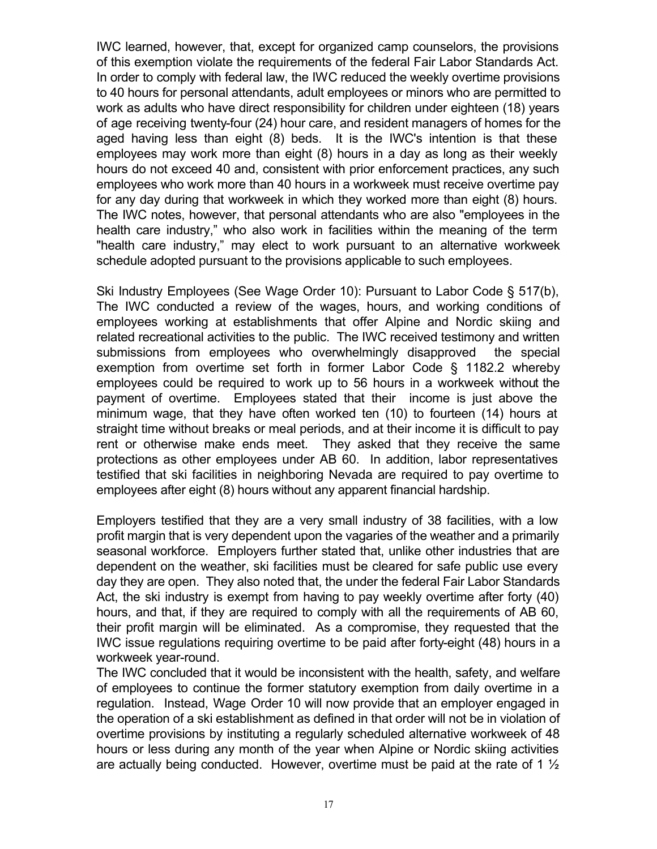IWC learned, however, that, except for organized camp counselors, the provisions of this exemption violate the requirements of the federal Fair Labor Standards Act. In order to comply with federal law, the IWC reduced the weekly overtime provisions to 40 hours for personal attendants, adult employees or minors who are permitted to work as adults who have direct responsibility for children under eighteen (18) years of age receiving twenty-four (24) hour care, and resident managers of homes for the aged having less than eight (8) beds. It is the IWC's intention is that these employees may work more than eight (8) hours in a day as long as their weekly hours do not exceed 40 and, consistent with prior enforcement practices, any such employees who work more than 40 hours in a workweek must receive overtime pay for any day during that workweek in which they worked more than eight (8) hours. The IWC notes, however, that personal attendants who are also "employees in the health care industry," who also work in facilities within the meaning of the term "health care industry," may elect to work pursuant to an alternative workweek schedule adopted pursuant to the provisions applicable to such employees.

Ski Industry Employees (See Wage Order 10): Pursuant to Labor Code § 517(b), The IWC conducted a review of the wages, hours, and working conditions of employees working at establishments that offer Alpine and Nordic skiing and related recreational activities to the public. The IWC received testimony and written submissions from employees who overwhelmingly disapproved the special exemption from overtime set forth in former Labor Code § 1182.2 whereby employees could be required to work up to 56 hours in a workweek without the payment of overtime. Employees stated that their income is just above the minimum wage, that they have often worked ten (10) to fourteen (14) hours at straight time without breaks or meal periods, and at their income it is difficult to pay rent or otherwise make ends meet. They asked that they receive the same protections as other employees under AB 60. In addition, labor representatives testified that ski facilities in neighboring Nevada are required to pay overtime to employees after eight (8) hours without any apparent financial hardship.

Employers testified that they are a very small industry of 38 facilities, with a low profit margin that is very dependent upon the vagaries of the weather and a primarily seasonal workforce. Employers further stated that, unlike other industries that are dependent on the weather, ski facilities must be cleared for safe public use every day they are open. They also noted that, the under the federal Fair Labor Standards Act, the ski industry is exempt from having to pay weekly overtime after forty (40) hours, and that, if they are required to comply with all the requirements of AB 60, their profit margin will be eliminated. As a compromise, they requested that the IWC issue regulations requiring overtime to be paid after forty-eight (48) hours in a workweek year-round.

The IWC concluded that it would be inconsistent with the health, safety, and welfare of employees to continue the former statutory exemption from daily overtime in a regulation. Instead, Wage Order 10 will now provide that an employer engaged in the operation of a ski establishment as defined in that order will not be in violation of overtime provisions by instituting a regularly scheduled alternative workweek of 48 hours or less during any month of the year when Alpine or Nordic skiing activities are actually being conducted. However, overtime must be paid at the rate of 1  $\frac{1}{2}$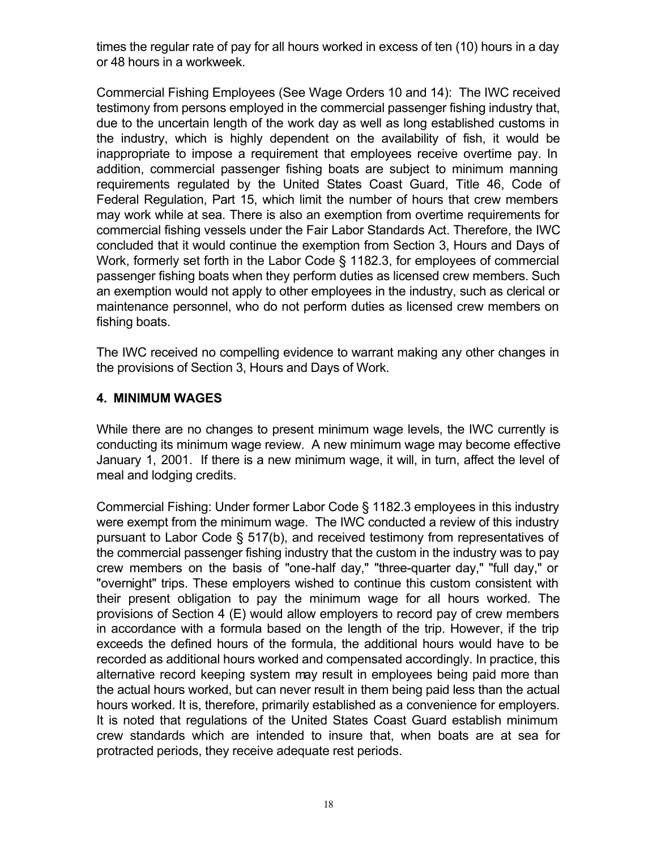times the regular rate of pay for all hours worked in excess of ten (10) hours in a day or 48 hours in a workweek.

Commercial Fishing Employees (See Wage Orders 10 and 14): The IWC received testimony from persons employed in the commercial passenger fishing industry that, due to the uncertain length of the work day as well as long established customs in the industry, which is highly dependent on the availability of fish, it would be inappropriate to impose a requirement that employees receive overtime pay. In addition, commercial passenger fishing boats are subject to minimum manning requirements regulated by the United States Coast Guard, Title 46, Code of Federal Regulation, Part 15, which limit the number of hours that crew members may work while at sea. There is also an exemption from overtime requirements for commercial fishing vessels under the Fair Labor Standards Act. Therefore, the IWC concluded that it would continue the exemption from Section 3, Hours and Days of Work, formerly set forth in the Labor Code § 1182.3, for employees of commercial passenger fishing boats when they perform duties as licensed crew members. Such an exemption would not apply to other employees in the industry, such as clerical or maintenance personnel, who do not perform duties as licensed crew members on fishing boats.

The IWC received no compelling evidence to warrant making any other changes in the provisions of Section 3, Hours and Days of Work.

#### **4. MINIMUM WAGES**

While there are no changes to present minimum wage levels, the IWC currently is conducting its minimum wage review. A new minimum wage may become effective January 1, 2001. If there is a new minimum wage, it will, in turn, affect the level of meal and lodging credits.

 protracted periods, they receive adequate rest periods. Commercial Fishing: Under former Labor Code § 1182.3 employees in this industry were exempt from the minimum wage. The IWC conducted a review of this industry pursuant to Labor Code § 517(b), and received testimony from representatives of the commercial passenger fishing industry that the custom in the industry was to pay crew members on the basis of "one-half day," "three-quarter day," "full day," or "overnight" trips. These employers wished to continue this custom consistent with their present obligation to pay the minimum wage for all hours worked. The provisions of Section 4 (E) would allow employers to record pay of crew members in accordance with a formula based on the length of the trip. However, if the trip exceeds the defined hours of the formula, the additional hours would have to be recorded as additional hours worked and compensated accordingly. In practice, this alternative record keeping system may result in employees being paid more than the actual hours worked, but can never result in them being paid less than the actual hours worked. It is, therefore, primarily established as a convenience for employers. It is noted that regulations of the United States Coast Guard establish minimum crew standards which are intended to insure that, when boats are at sea for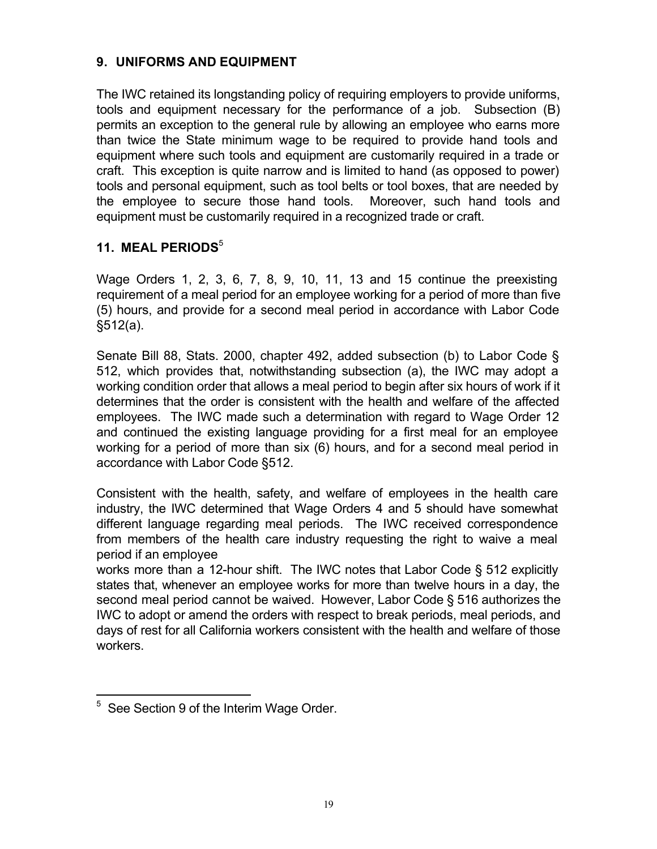### **9. UNIFORMS AND EQUIPMENT**

The IWC retained its longstanding policy of requiring employers to provide uniforms, tools and equipment necessary for the performance of a job. Subsection (B) permits an exception to the general rule by allowing an employee who earns more than twice the State minimum wage to be required to provide hand tools and equipment where such tools and equipment are customarily required in a trade or craft. This exception is quite narrow and is limited to hand (as opposed to power) tools and personal equipment, such as tool belts or tool boxes, that are needed by the employee to secure those hand tools. Moreover, such hand tools and equipment must be customarily required in a recognized trade or craft.

#### **11. MEAL PERIODS**<sup>5</sup>

Wage Orders 1, 2, 3, 6, 7, 8, 9, 10, 11, 13 and 15 continue the preexisting requirement of a meal period for an employee working for a period of more than five (5) hours, and provide for a second meal period in accordance with Labor Code §512(a).

Senate Bill 88, Stats. 2000, chapter 492, added subsection (b) to Labor Code § 512, which provides that, notwithstanding subsection (a), the IWC may adopt a working condition order that allows a meal period to begin after six hours of work if it determines that the order is consistent with the health and welfare of the affected employees. The IWC made such a determination with regard to Wage Order 12 and continued the existing language providing for a first meal for an employee working for a period of more than six (6) hours, and for a second meal period in accordance with Labor Code §512.

Consistent with the health, safety, and welfare of employees in the health care industry, the IWC determined that Wage Orders 4 and 5 should have somewhat different language regarding meal periods. The IWC received correspondence from members of the health care industry requesting the right to waive a meal period if an employee

works more than a 12-hour shift. The IWC notes that Labor Code § 512 explicitly states that, whenever an employee works for more than twelve hours in a day, the second meal period cannot be waived. However, Labor Code § 516 authorizes the IWC to adopt or amend the orders with respect to break periods, meal periods, and days of rest for all California workers consistent with the health and welfare of those workers.

<sup>&</sup>lt;u>.</u>  $5$  See Section 9 of the Interim Wage Order.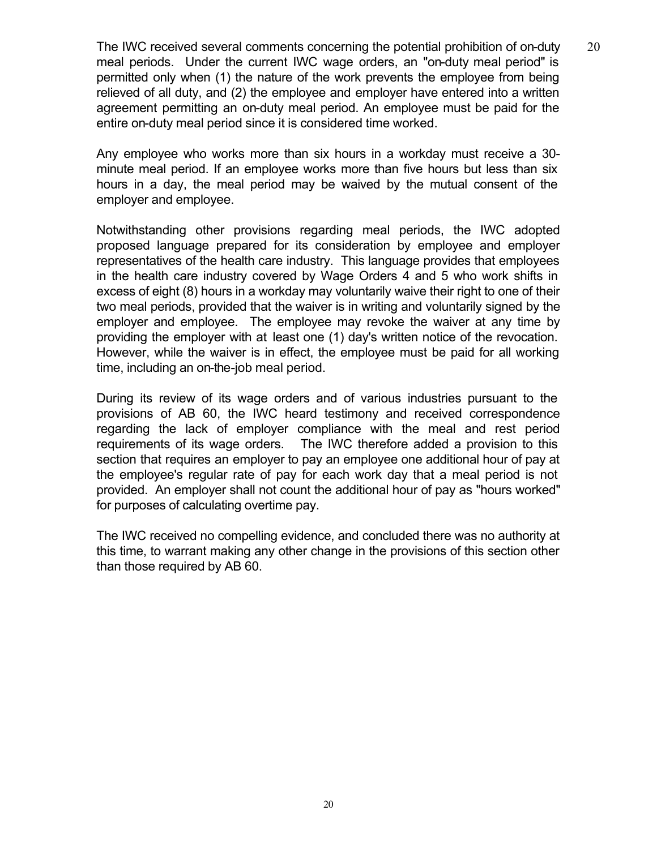The IWC received several comments concerning the potential prohibition of on-duty  $20$ meal periods. Under the current IWC wage orders, an "on-duty meal period" is permitted only when (1) the nature of the work prevents the employee from being relieved of all duty, and (2) the employee and employer have entered into a written agreement permitting an on-duty meal period. An employee must be paid for the entire on-duty meal period since it is considered time worked.

Any employee who works more than six hours in a workday must receive a 30 minute meal period. If an employee works more than five hours but less than six hours in a day, the meal period may be waived by the mutual consent of the employer and employee.

Notwithstanding other provisions regarding meal periods, the IWC adopted proposed language prepared for its consideration by employee and employer representatives of the health care industry. This language provides that employees in the health care industry covered by Wage Orders 4 and 5 who work shifts in excess of eight (8) hours in a workday may voluntarily waive their right to one of their two meal periods, provided that the waiver is in writing and voluntarily signed by the employer and employee. The employee may revoke the waiver at any time by providing the employer with at least one (1) day's written notice of the revocation. However, while the waiver is in effect, the employee must be paid for all working time, including an on-the-job meal period.

During its review of its wage orders and of various industries pursuant to the provisions of AB 60, the IWC heard testimony and received correspondence regarding the lack of employer compliance with the meal and rest period requirements of its wage orders. The IWC therefore added a provision to this section that requires an employer to pay an employee one additional hour of pay at the employee's regular rate of pay for each work day that a meal period is not provided. An employer shall not count the additional hour of pay as "hours worked" for purposes of calculating overtime pay.

The IWC received no compelling evidence, and concluded there was no authority at this time, to warrant making any other change in the provisions of this section other than those required by AB 60.